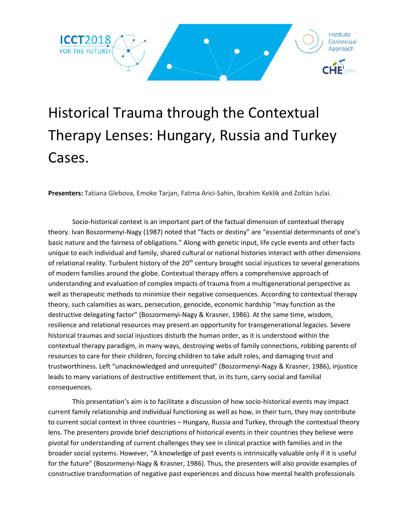

## Historical Trauma through the Contextual Therapy Lenses: Hungary, Russia and Turkey Cases.

**Presenters:** Tatiana Glebova, Emoke Tarjan, Fatma Arici-Sahin, Ibrahim Keklik and Zoltán Iszlai.Iszlai

Socio-historical context is an important part of the factual dimension of contextual therapy theory. Ivan Boszormenyi-Nagy (1987) noted that "facts or destiny" are "essential determinants of one's basic nature and the fairness of obligations." Along with genetic input, life cycle events and other facts unique to each individual and family, shared cultural or national histories interact with other dimensions of relational reality. Turbulent history of the 20<sup>th</sup> century brought social injustices to several generations of modern families around the globe. Contextual therapy offers a comprehensive approach of understanding and evaluation of complex impacts of trauma from a multigenerational perspective as well as therapeutic methods to minimize their negative consequences. According to contextual therapy theory, such calamities as wars, persecution, genocide, economic hardship "may function as the destructive delegating factor" (Boszormenyi-Nagy & Krasner, 1986). At the same time, wisdom, resilience and relational resources may present an opportunity for transgenerational legacies. Severe historical traumas and social injustices disturb the human order, as it is understood within the contextual therapy paradigm, in many ways, destroying webs of family connections, robbing parents of resources to care for their children, forcing children to take adult roles, and damaging trust and trustworthiness. Left "unacknowledged and unrequited" (Boszormenyi-Nagy & Krasner, 1986), injustice leads to many variations of destructive entitlement that, in its turn, carry social and familial consequences.

This presentation's aim is to facilitate a discussion of how socio-historical events may impact current family relationship and individual functioning as well as how, in their turn, they may contribute to current social context in three countries – Hungary, Russia and Turkey, through the contextual theory lens. The presenters provide brief descriptions of historical events in their countries they believe were pivotal for understanding of current challenges they see in clinical practice with families and in the broader social systems. However, "A knowledge of past events is intrinsically valuable only if it is useful for the future" (Boszormenyi-Nagy & Krasner, 1986). Thus, the presenters will also provide examples of constructive transformation of negative past experiences and discuss how mental health professionals